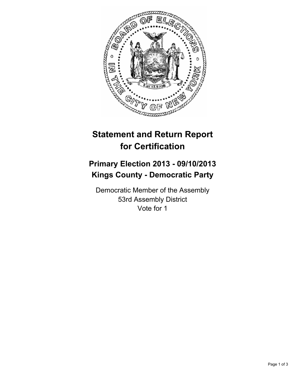

## **Statement and Return Report for Certification**

## **Primary Election 2013 - 09/10/2013 Kings County - Democratic Party**

Democratic Member of the Assembly 53rd Assembly District Vote for 1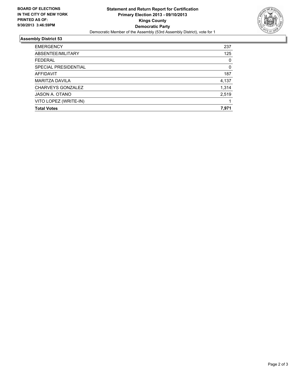

## **Assembly District 53**

| <b>EMERGENCY</b>         | 237   |
|--------------------------|-------|
| ABSENTEE/MILITARY        | 125   |
| <b>FEDERAL</b>           | 0     |
| SPECIAL PRESIDENTIAL     | 0     |
| AFFIDAVIT                | 187   |
| <b>MARITZA DAVILA</b>    | 4,137 |
| <b>CHARVEYS GONZALEZ</b> | 1,314 |
| JASON A. OTANO           | 2,519 |
| VITO LOPEZ (WRITE-IN)    |       |
| <b>Total Votes</b>       | 7,971 |